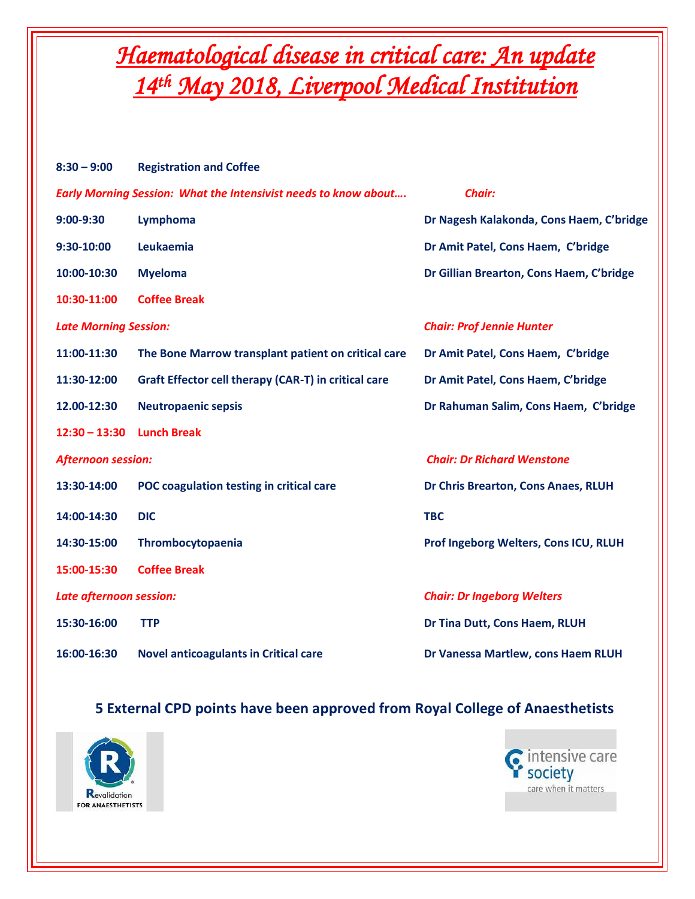## *Haematological disease in critical care: An update 14th May 2018, Liverpool Medical Institution*

| $8:30 - 9:00$                                                                           | <b>Registration and Coffee</b>                       |                                          |  |
|-----------------------------------------------------------------------------------------|------------------------------------------------------|------------------------------------------|--|
| <b>Early Morning Session: What the Intensivist needs to know about</b><br><b>Chair:</b> |                                                      |                                          |  |
| $9:00-9:30$                                                                             | Lymphoma                                             | Dr Nagesh Kalakonda, Cons Haem, C'bridge |  |
| 9:30-10:00                                                                              | Leukaemia                                            | Dr Amit Patel, Cons Haem, C'bridge       |  |
| 10:00-10:30                                                                             | <b>Myeloma</b>                                       | Dr Gillian Brearton, Cons Haem, C'bridge |  |
| 10:30-11:00                                                                             | <b>Coffee Break</b>                                  |                                          |  |
| <b>Late Morning Session:</b>                                                            |                                                      | <b>Chair: Prof Jennie Hunter</b>         |  |
| 11:00-11:30                                                                             | The Bone Marrow transplant patient on critical care  | Dr Amit Patel, Cons Haem, C'bridge       |  |
| 11:30-12:00                                                                             | Graft Effector cell therapy (CAR-T) in critical care | Dr Amit Patel, Cons Haem, C'bridge       |  |
| 12.00-12:30                                                                             | <b>Neutropaenic sepsis</b>                           | Dr Rahuman Salim, Cons Haem, C'bridge    |  |
| $12:30 - 13:30$                                                                         | <b>Lunch Break</b>                                   |                                          |  |
| <b>Afternoon session:</b>                                                               |                                                      | <b>Chair: Dr Richard Wenstone</b>        |  |
| 13:30-14:00                                                                             | POC coagulation testing in critical care             | Dr Chris Brearton, Cons Anaes, RLUH      |  |
| 14:00-14:30                                                                             | <b>DIC</b>                                           | <b>TBC</b>                               |  |
| 14:30-15:00                                                                             | Thrombocytopaenia                                    | Prof Ingeborg Welters, Cons ICU, RLUH    |  |
| 15:00-15:30                                                                             | <b>Coffee Break</b>                                  |                                          |  |
| Late afternoon session:                                                                 |                                                      | <b>Chair: Dr Ingeborg Welters</b>        |  |
| 15:30-16:00                                                                             | <b>TTP</b>                                           | Dr Tina Dutt, Cons Haem, RLUH            |  |
| 16:00-16:30                                                                             | <b>Novel anticoagulants in Critical care</b>         | Dr Vanessa Martlew, cons Haem RLUH       |  |

## **5 External CPD points have been approved from Royal College of Anaesthetists**